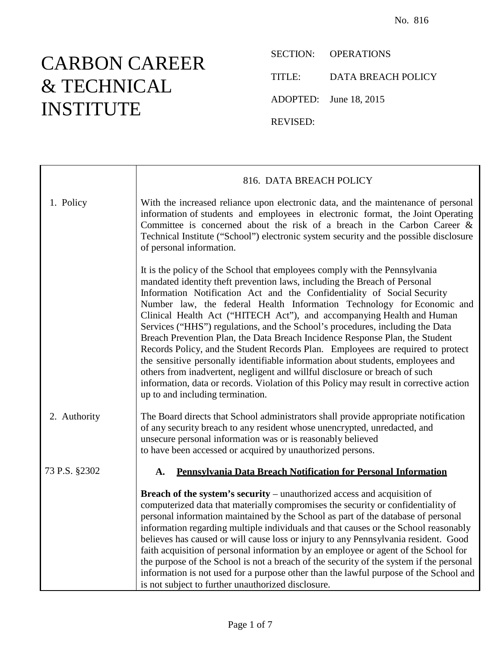## CARBON CAREER & TECHNICAL INSTITUTE

┯

 $\Gamma$ 

SECTION: OPERATIONS TITLE: DATA BREACH POLICY ADOPTED: June 18, 2015

REVISED:

|               | 816. DATA BREACH POLICY                                                                                                                                                                                                                                                                                                                                                                                                                                                                                                                                                                                                                                                                                                                                                                                                                                                                                                                   |
|---------------|-------------------------------------------------------------------------------------------------------------------------------------------------------------------------------------------------------------------------------------------------------------------------------------------------------------------------------------------------------------------------------------------------------------------------------------------------------------------------------------------------------------------------------------------------------------------------------------------------------------------------------------------------------------------------------------------------------------------------------------------------------------------------------------------------------------------------------------------------------------------------------------------------------------------------------------------|
| 1. Policy     | With the increased reliance upon electronic data, and the maintenance of personal<br>information of students and employees in electronic format, the Joint Operating<br>Committee is concerned about the risk of a breach in the Carbon Career $\&$<br>Technical Institute ("School") electronic system security and the possible disclosure<br>of personal information.                                                                                                                                                                                                                                                                                                                                                                                                                                                                                                                                                                  |
|               | It is the policy of the School that employees comply with the Pennsylvania<br>mandated identity theft prevention laws, including the Breach of Personal<br>Information Notification Act and the Confidentiality of Social Security<br>Number law, the federal Health Information Technology for Economic and<br>Clinical Health Act ("HITECH Act"), and accompanying Health and Human<br>Services ("HHS") regulations, and the School's procedures, including the Data<br>Breach Prevention Plan, the Data Breach Incidence Response Plan, the Student<br>Records Policy, and the Student Records Plan. Employees are required to protect<br>the sensitive personally identifiable information about students, employees and<br>others from inadvertent, negligent and willful disclosure or breach of such<br>information, data or records. Violation of this Policy may result in corrective action<br>up to and including termination. |
| 2. Authority  | The Board directs that School administrators shall provide appropriate notification<br>of any security breach to any resident whose unencrypted, unredacted, and<br>unsecure personal information was or is reasonably believed<br>to have been accessed or acquired by unauthorized persons.                                                                                                                                                                                                                                                                                                                                                                                                                                                                                                                                                                                                                                             |
| 73 P.S. §2302 | Pennsylvania Data Breach Notification for Personal Information<br>A.                                                                                                                                                                                                                                                                                                                                                                                                                                                                                                                                                                                                                                                                                                                                                                                                                                                                      |
|               | <b>Breach of the system's security</b> – unauthorized access and acquisition of<br>computerized data that materially compromises the security or confidentiality of<br>personal information maintained by the School as part of the database of personal<br>information regarding multiple individuals and that causes or the School reasonably<br>believes has caused or will cause loss or injury to any Pennsylvania resident. Good<br>faith acquisition of personal information by an employee or agent of the School for<br>the purpose of the School is not a breach of the security of the system if the personal<br>information is not used for a purpose other than the lawful purpose of the School and<br>is not subject to further unauthorized disclosure.                                                                                                                                                                   |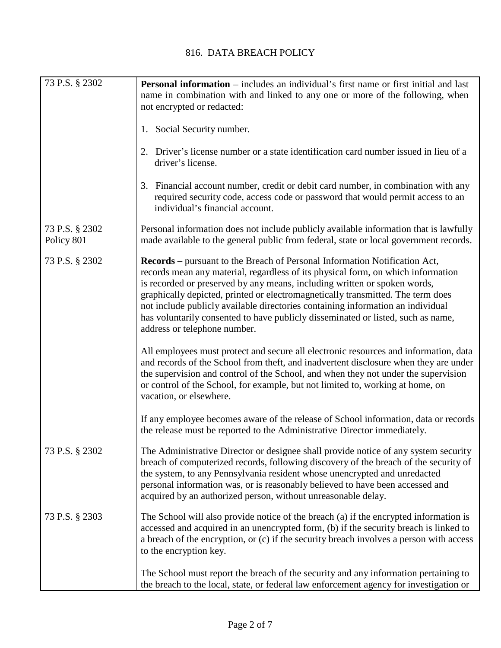## 816. DATA BREACH POLICY

| 73 P.S. § 2302               | <b>Personal information</b> – includes an individual's first name or first initial and last<br>name in combination with and linked to any one or more of the following, when<br>not encrypted or redacted:                                                                                                                                                                                                                                                                                                                                   |
|------------------------------|----------------------------------------------------------------------------------------------------------------------------------------------------------------------------------------------------------------------------------------------------------------------------------------------------------------------------------------------------------------------------------------------------------------------------------------------------------------------------------------------------------------------------------------------|
|                              | 1. Social Security number.                                                                                                                                                                                                                                                                                                                                                                                                                                                                                                                   |
|                              | 2. Driver's license number or a state identification card number issued in lieu of a<br>driver's license.                                                                                                                                                                                                                                                                                                                                                                                                                                    |
|                              | 3. Financial account number, credit or debit card number, in combination with any<br>required security code, access code or password that would permit access to an<br>individual's financial account.                                                                                                                                                                                                                                                                                                                                       |
| 73 P.S. § 2302<br>Policy 801 | Personal information does not include publicly available information that is lawfully<br>made available to the general public from federal, state or local government records.                                                                                                                                                                                                                                                                                                                                                               |
| 73 P.S. § 2302               | <b>Records</b> – pursuant to the Breach of Personal Information Notification Act,<br>records mean any material, regardless of its physical form, on which information<br>is recorded or preserved by any means, including written or spoken words,<br>graphically depicted, printed or electromagnetically transmitted. The term does<br>not include publicly available directories containing information an individual<br>has voluntarily consented to have publicly disseminated or listed, such as name,<br>address or telephone number. |
|                              | All employees must protect and secure all electronic resources and information, data<br>and records of the School from theft, and inadvertent disclosure when they are under<br>the supervision and control of the School, and when they not under the supervision<br>or control of the School, for example, but not limited to, working at home, on<br>vacation, or elsewhere.                                                                                                                                                              |
|                              | If any employee becomes aware of the release of School information, data or records<br>the release must be reported to the Administrative Director immediately.                                                                                                                                                                                                                                                                                                                                                                              |
| 73 P.S. § 2302               | The Administrative Director or designee shall provide notice of any system security<br>breach of computerized records, following discovery of the breach of the security of<br>the system, to any Pennsylvania resident whose unencrypted and unredacted<br>personal information was, or is reasonably believed to have been accessed and<br>acquired by an authorized person, without unreasonable delay.                                                                                                                                   |
| 73 P.S. § 2303               | The School will also provide notice of the breach (a) if the encrypted information is<br>accessed and acquired in an unencrypted form, (b) if the security breach is linked to<br>a breach of the encryption, or (c) if the security breach involves a person with access<br>to the encryption key.                                                                                                                                                                                                                                          |
|                              | The School must report the breach of the security and any information pertaining to<br>the breach to the local, state, or federal law enforcement agency for investigation or                                                                                                                                                                                                                                                                                                                                                                |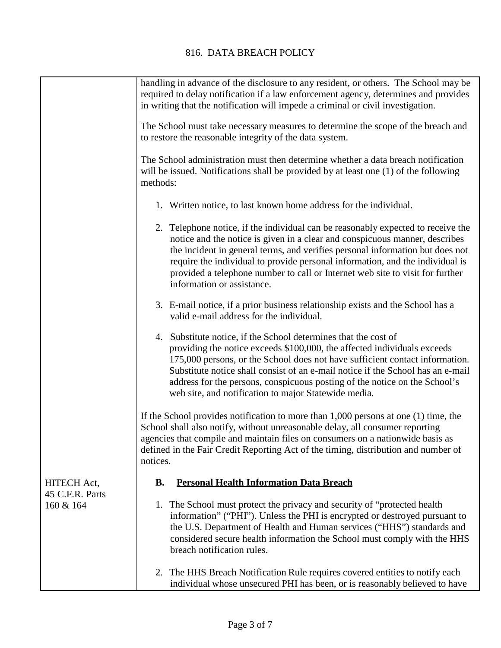|                                             | handling in advance of the disclosure to any resident, or others. The School may be<br>required to delay notification if a law enforcement agency, determines and provides<br>in writing that the notification will impede a criminal or civil investigation.                                                                                                                                                                                        |
|---------------------------------------------|------------------------------------------------------------------------------------------------------------------------------------------------------------------------------------------------------------------------------------------------------------------------------------------------------------------------------------------------------------------------------------------------------------------------------------------------------|
|                                             | The School must take necessary measures to determine the scope of the breach and<br>to restore the reasonable integrity of the data system.                                                                                                                                                                                                                                                                                                          |
|                                             | The School administration must then determine whether a data breach notification<br>will be issued. Notifications shall be provided by at least one (1) of the following<br>methods:                                                                                                                                                                                                                                                                 |
|                                             | 1. Written notice, to last known home address for the individual.                                                                                                                                                                                                                                                                                                                                                                                    |
|                                             | 2. Telephone notice, if the individual can be reasonably expected to receive the<br>notice and the notice is given in a clear and conspicuous manner, describes<br>the incident in general terms, and verifies personal information but does not<br>require the individual to provide personal information, and the individual is<br>provided a telephone number to call or Internet web site to visit for further<br>information or assistance.     |
|                                             | 3. E-mail notice, if a prior business relationship exists and the School has a<br>valid e-mail address for the individual.                                                                                                                                                                                                                                                                                                                           |
|                                             | 4. Substitute notice, if the School determines that the cost of<br>providing the notice exceeds \$100,000, the affected individuals exceeds<br>175,000 persons, or the School does not have sufficient contact information.<br>Substitute notice shall consist of an e-mail notice if the School has an e-mail<br>address for the persons, conspicuous posting of the notice on the School's<br>web site, and notification to major Statewide media. |
|                                             | If the School provides notification to more than $1,000$ persons at one $(1)$ time, the<br>School shall also notify, without unreasonable delay, all consumer reporting<br>agencies that compile and maintain files on consumers on a nationwide basis as<br>defined in the Fair Credit Reporting Act of the timing, distribution and number of<br>notices.                                                                                          |
| HITECH Act,<br>45 C.F.R. Parts<br>160 & 164 | <b>Personal Health Information Data Breach</b><br><b>B.</b>                                                                                                                                                                                                                                                                                                                                                                                          |
|                                             | 1. The School must protect the privacy and security of "protected health"<br>information" ("PHI"). Unless the PHI is encrypted or destroyed pursuant to<br>the U.S. Department of Health and Human services ("HHS") standards and<br>considered secure health information the School must comply with the HHS<br>breach notification rules.                                                                                                          |
|                                             | 2. The HHS Breach Notification Rule requires covered entities to notify each<br>individual whose unsecured PHI has been, or is reasonably believed to have                                                                                                                                                                                                                                                                                           |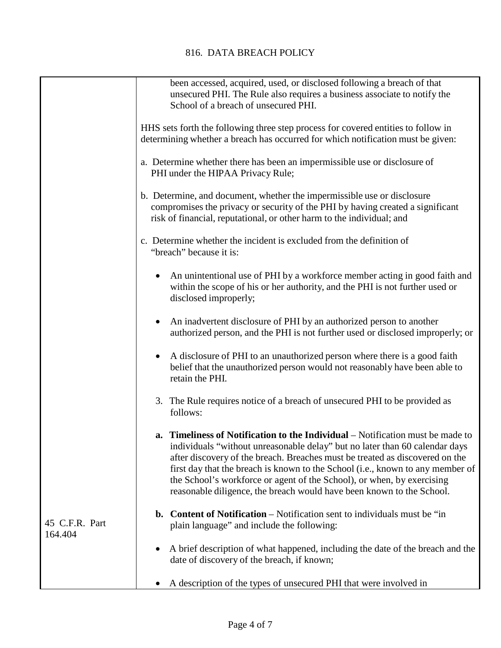|                           | been accessed, acquired, used, or disclosed following a breach of that<br>unsecured PHI. The Rule also requires a business associate to notify the<br>School of a breach of unsecured PHI.                                                                                                                                                                                                                                                                                                |
|---------------------------|-------------------------------------------------------------------------------------------------------------------------------------------------------------------------------------------------------------------------------------------------------------------------------------------------------------------------------------------------------------------------------------------------------------------------------------------------------------------------------------------|
|                           | HHS sets forth the following three step process for covered entities to follow in<br>determining whether a breach has occurred for which notification must be given:                                                                                                                                                                                                                                                                                                                      |
|                           | a. Determine whether there has been an impermissible use or disclosure of<br>PHI under the HIPAA Privacy Rule;                                                                                                                                                                                                                                                                                                                                                                            |
|                           | b. Determine, and document, whether the impermissible use or disclosure<br>compromises the privacy or security of the PHI by having created a significant<br>risk of financial, reputational, or other harm to the individual; and                                                                                                                                                                                                                                                        |
|                           | c. Determine whether the incident is excluded from the definition of<br>"breach" because it is:                                                                                                                                                                                                                                                                                                                                                                                           |
|                           | An unintentional use of PHI by a workforce member acting in good faith and<br>within the scope of his or her authority, and the PHI is not further used or<br>disclosed improperly;                                                                                                                                                                                                                                                                                                       |
|                           | An inadvertent disclosure of PHI by an authorized person to another<br>authorized person, and the PHI is not further used or disclosed improperly; or                                                                                                                                                                                                                                                                                                                                     |
|                           | A disclosure of PHI to an unauthorized person where there is a good faith<br>$\bullet$<br>belief that the unauthorized person would not reasonably have been able to<br>retain the PHI.                                                                                                                                                                                                                                                                                                   |
|                           | 3. The Rule requires notice of a breach of unsecured PHI to be provided as<br>follows:                                                                                                                                                                                                                                                                                                                                                                                                    |
|                           | <b>a.</b> Timeliness of Notification to the Individual – Notification must be made to<br>individuals "without unreasonable delay" but no later than 60 calendar days<br>after discovery of the breach. Breaches must be treated as discovered on the<br>first day that the breach is known to the School (i.e., known to any member of<br>the School's workforce or agent of the School), or when, by exercising<br>reasonable diligence, the breach would have been known to the School. |
| 45 C.F.R. Part<br>164.404 | <b>b.</b> Content of Notification – Notification sent to individuals must be "in<br>plain language" and include the following:                                                                                                                                                                                                                                                                                                                                                            |
|                           | A brief description of what happened, including the date of the breach and the<br>date of discovery of the breach, if known;                                                                                                                                                                                                                                                                                                                                                              |
|                           | A description of the types of unsecured PHI that were involved in                                                                                                                                                                                                                                                                                                                                                                                                                         |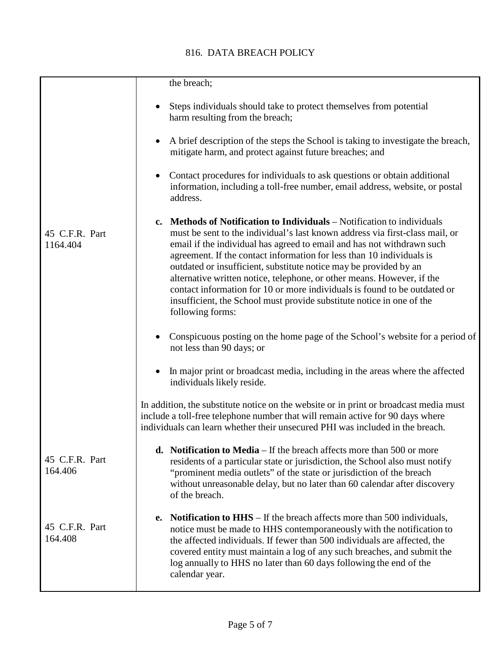## 816. DATA BREACH POLICY

|                            | the breach;                                                                                                                                                                                                                                                                                                                                                                                                                                                                                                                                                                                                                                                                                                                                                                                                                                                                                                                                                                                                                                                                                                                                                                                                                                                                                           |
|----------------------------|-------------------------------------------------------------------------------------------------------------------------------------------------------------------------------------------------------------------------------------------------------------------------------------------------------------------------------------------------------------------------------------------------------------------------------------------------------------------------------------------------------------------------------------------------------------------------------------------------------------------------------------------------------------------------------------------------------------------------------------------------------------------------------------------------------------------------------------------------------------------------------------------------------------------------------------------------------------------------------------------------------------------------------------------------------------------------------------------------------------------------------------------------------------------------------------------------------------------------------------------------------------------------------------------------------|
| 45 C.F.R. Part<br>1164.404 | Steps individuals should take to protect themselves from potential<br>harm resulting from the breach;<br>A brief description of the steps the School is taking to investigate the breach,<br>mitigate harm, and protect against future breaches; and<br>Contact procedures for individuals to ask questions or obtain additional<br>information, including a toll-free number, email address, website, or postal<br>address.<br><b>c.</b> Methods of Notification to Individuals – Notification to individuals<br>must be sent to the individual's last known address via first-class mail, or<br>email if the individual has agreed to email and has not withdrawn such<br>agreement. If the contact information for less than 10 individuals is<br>outdated or insufficient, substitute notice may be provided by an<br>alternative written notice, telephone, or other means. However, if the<br>contact information for 10 or more individuals is found to be outdated or<br>insufficient, the School must provide substitute notice in one of the<br>following forms:<br>Conspicuous posting on the home page of the School's website for a period of<br>not less than 90 days; or<br>In major print or broadcast media, including in the areas where the affected<br>individuals likely reside. |
|                            | In addition, the substitute notice on the website or in print or broadcast media must<br>include a toll-free telephone number that will remain active for 90 days where<br>individuals can learn whether their unsecured PHI was included in the breach.                                                                                                                                                                                                                                                                                                                                                                                                                                                                                                                                                                                                                                                                                                                                                                                                                                                                                                                                                                                                                                              |
| 45 C.F.R. Part<br>164.406  | <b>d.</b> Notification to Media $-$ If the breach affects more than 500 or more<br>residents of a particular state or jurisdiction, the School also must notify<br>"prominent media outlets" of the state or jurisdiction of the breach<br>without unreasonable delay, but no later than 60 calendar after discovery<br>of the breach.                                                                                                                                                                                                                                                                                                                                                                                                                                                                                                                                                                                                                                                                                                                                                                                                                                                                                                                                                                |
| 45 C.F.R. Part<br>164.408  | <b>Notification to HHS</b> $-$ If the breach affects more than 500 individuals,<br>e.<br>notice must be made to HHS contemporaneously with the notification to<br>the affected individuals. If fewer than 500 individuals are affected, the<br>covered entity must maintain a log of any such breaches, and submit the<br>log annually to HHS no later than 60 days following the end of the<br>calendar year.                                                                                                                                                                                                                                                                                                                                                                                                                                                                                                                                                                                                                                                                                                                                                                                                                                                                                        |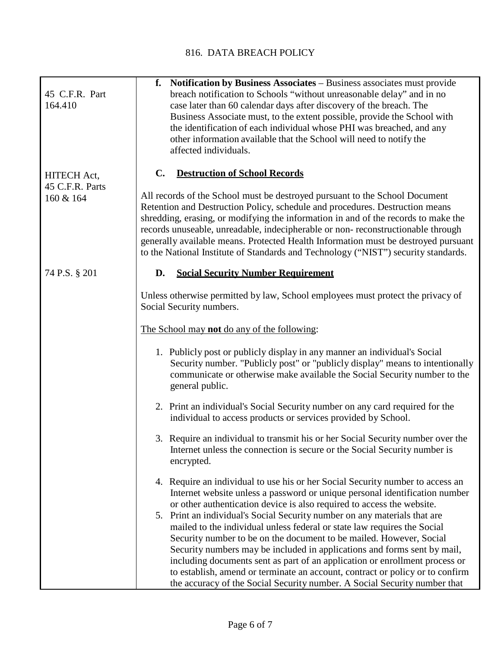| 45 C.F.R. Part<br>164.410    | f. Notification by Business Associates – Business associates must provide<br>breach notification to Schools "without unreasonable delay" and in no<br>case later than 60 calendar days after discovery of the breach. The<br>Business Associate must, to the extent possible, provide the School with<br>the identification of each individual whose PHI was breached, and any<br>other information available that the School will need to notify the<br>affected individuals.                                                                        |
|------------------------------|-------------------------------------------------------------------------------------------------------------------------------------------------------------------------------------------------------------------------------------------------------------------------------------------------------------------------------------------------------------------------------------------------------------------------------------------------------------------------------------------------------------------------------------------------------|
| HITECH Act,                  | C.<br><b>Destruction of School Records</b>                                                                                                                                                                                                                                                                                                                                                                                                                                                                                                            |
| 45 C.F.R. Parts<br>160 & 164 | All records of the School must be destroyed pursuant to the School Document<br>Retention and Destruction Policy, schedule and procedures. Destruction means<br>shredding, erasing, or modifying the information in and of the records to make the<br>records unuseable, unreadable, indecipherable or non-reconstructionable through<br>generally available means. Protected Health Information must be destroyed pursuant<br>to the National Institute of Standards and Technology ("NIST") security standards.                                      |
| 74 P.S. § 201                | <b>Social Security Number Requirement</b><br>D.                                                                                                                                                                                                                                                                                                                                                                                                                                                                                                       |
|                              | Unless otherwise permitted by law, School employees must protect the privacy of<br>Social Security numbers.                                                                                                                                                                                                                                                                                                                                                                                                                                           |
|                              | The School may <b>not</b> do any of the following:                                                                                                                                                                                                                                                                                                                                                                                                                                                                                                    |
|                              | 1. Publicly post or publicly display in any manner an individual's Social<br>Security number. "Publicly post" or "publicly display" means to intentionally<br>communicate or otherwise make available the Social Security number to the<br>general public.                                                                                                                                                                                                                                                                                            |
|                              | 2. Print an individual's Social Security number on any card required for the<br>individual to access products or services provided by School.                                                                                                                                                                                                                                                                                                                                                                                                         |
|                              | 3. Require an individual to transmit his or her Social Security number over the<br>Internet unless the connection is secure or the Social Security number is<br>encrypted.                                                                                                                                                                                                                                                                                                                                                                            |
|                              | 4. Require an individual to use his or her Social Security number to access an<br>Internet website unless a password or unique personal identification number<br>or other authentication device is also required to access the website.                                                                                                                                                                                                                                                                                                               |
|                              | 5. Print an individual's Social Security number on any materials that are<br>mailed to the individual unless federal or state law requires the Social<br>Security number to be on the document to be mailed. However, Social<br>Security numbers may be included in applications and forms sent by mail,<br>including documents sent as part of an application or enrollment process or<br>to establish, amend or terminate an account, contract or policy or to confirm<br>the accuracy of the Social Security number. A Social Security number that |